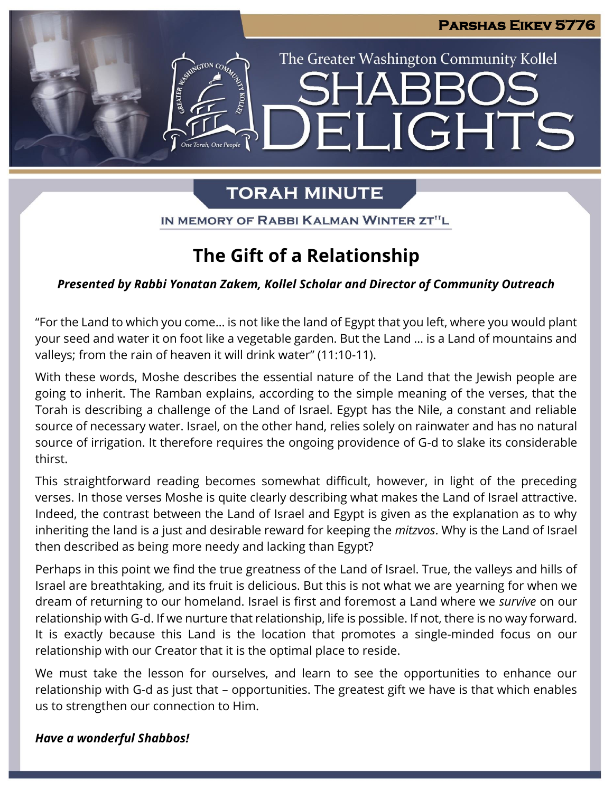IGHTS

The Greater Washington Community Kollel

# **TORAH MINUTE**

 $\blacksquare$ 

IN MEMORY OF RABBI KALMAN WINTER ZT"L

### **The Gift of a Relationship**

#### *Presented by Rabbi Yonatan Zakem, Kollel Scholar and Director of Community Outreach*

"For the Land to which you come… is not like the land of Egypt that you left, where you would plant your seed and water it on foot like a vegetable garden. But the Land … is a Land of mountains and valleys; from the rain of heaven it will drink water" (11:10-11).

With these words, Moshe describes the essential nature of the Land that the Jewish people are going to inherit. The Ramban explains, according to the simple meaning of the verses, that the Torah is describing a challenge of the Land of Israel. Egypt has the Nile, a constant and reliable source of necessary water. Israel, on the other hand, relies solely on rainwater and has no natural source of irrigation. It therefore requires the ongoing providence of G-d to slake its considerable thirst.

This straightforward reading becomes somewhat difficult, however, in light of the preceding verses. In those verses Moshe is quite clearly describing what makes the Land of Israel attractive. Indeed, the contrast between the Land of Israel and Egypt is given as the explanation as to why inheriting the land is a just and desirable reward for keeping the *mitzvos*. Why is the Land of Israel then described as being more needy and lacking than Egypt?

Perhaps in this point we find the true greatness of the Land of Israel. True, the valleys and hills of Israel are breathtaking, and its fruit is delicious. But this is not what we are yearning for when we dream of returning to our homeland. Israel is first and foremost a Land where we *survive* on our relationship with G-d. If we nurture that relationship, life is possible. If not, there is no way forward. It is exactly because this Land is the location that promotes a single-minded focus on our relationship with our Creator that it is the optimal place to reside.

We must take the lesson for ourselves, and learn to see the opportunities to enhance our relationship with G-d as just that – opportunities. The greatest gift we have is that which enables us to strengthen our connection to Him.

#### *Have a wonderful Shabbos!*